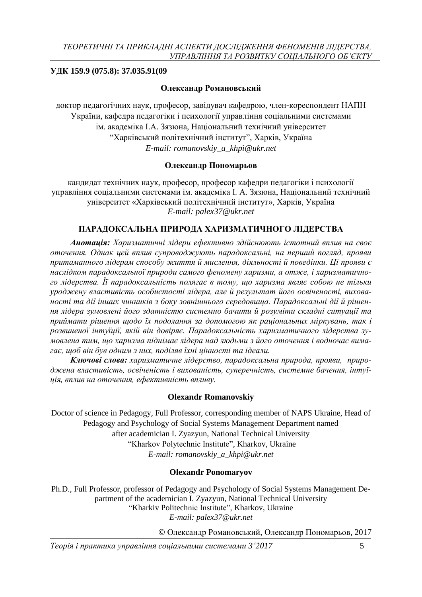### **УДК 159.9 (075.8): 37.035.91(09**

### **Олександр Романовський**

доктор педагогічних наук, професор, завідувач кафедрою, член-кореспондент НАПН України, кафедра педагогіки і психології управління соціальними системами ім. академіка І.А. Зязюна, Національний технічний університет "Харківський політехнічний інститут", Харків, Україна *E-mail: [romanovskiy\\_a\\_khpi@ukr.net](mailto:romanovskiy_a_khpi@ukr.net)*

### **Олександр Пономарьов**

кандидат технічних наук, професор, професор кафедри педагогіки і психології управління соціальними системами ім. академіка І. А. Зязюна, Національний технічний університет «Харківський політехнічний інститут», Харків, Україна *E-mail: palex37@ukr.net*

# **ПАРАДОКСАЛЬНА ПРИРОДА ХАРИЗМАТИЧНОГО ЛІДЕРСТВА**

*Анотація: Харизматичні лідери ефективно здійснюють істотний вплив на своє оточення. Однак цей вплив супроводжують парадоксальні, на перший погляд, прояви притаманного лідерам способу життя й мислення, діяльності й поведінки. Ці прояви є наслідком парадоксальної природи самого феномену харизми, а отже, і харизматичного лідерства. Її парадоксальність полягає в тому, що харизма являє собою не тільки уроджену властивість особистості лідера, але й результат його освіченості, вихованості та дії інших чинників з боку зовнішнього середовища. Парадоксальні дії й рішення лідера зумовлені його здатністю системно бачити й розуміти складні ситуації та приймати рішення щодо їх подолання за допомогою як раціональних міркувань, так і розвиненої інтуїції, якій він довіряє. Парадоксальність харизматичного лідерства зумовлена тим, що харизма піднімає лідера над людьми з його оточення і водночас вимагає, щоб він був одним з них, поділяв їхні цінності та ідеали.* 

*Ключові слова: харизматичне лідерство, парадоксальна природа, прояви, природжена властивість, освіченість і вихованість, суперечність, системне бачення, інтуїція, вплив на оточення, ефективність впливу.*

#### **Olexandr Romanovskiy**

Doctor of science in Pedagogy, Full Professor, corresponding member of NAPS Ukraine, Head of Pedagogy and Psychology of Social Systems Management Department named after academician I. Zyazyun, National Technical University "Kharkov Polytechnic Institute", Kharkov, Ukraine *E-mail: romanovskiy\_a\_khpi@ukr.net*

#### **Olexandr Ponomaryov**

Ph.D., Full Professor, professor of Pedagogy and Psychology of Social Systems Management Department of the academician I. Zyazyun, National Technical University "Kharkiv Politechnic Institute", Kharkov, Ukraine *E-mail: [palex37@ukr.net](mailto:palex37@ukr.net)*

Олександр Романовський, Олександр Пономарьов, 2017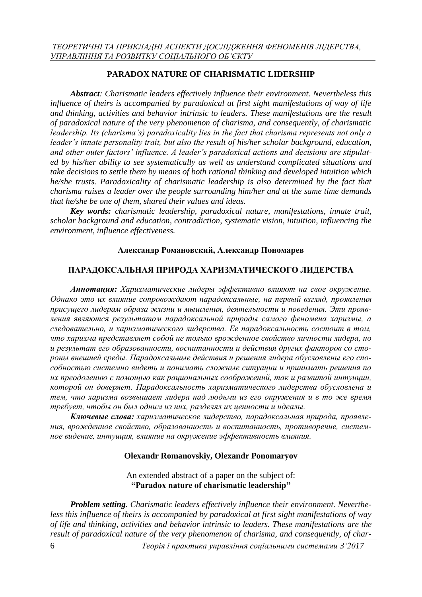# **PARADOX NATURE OF CHARISMATIC LIDERSHIP**

*Abstract: Charismatic leaders effectively influence their environment. Nevertheless this influence of theirs is accompanied by paradoxical at first sight manifestations of way of life and thinking, activities and behavior intrinsic to leaders. These manifestations are the result of paradoxical nature of the very phenomenon of charisma, and consequently, of charismatic leadership. Its (charisma's) paradoxicality lies in the fact that charisma represents not only a leader's innate personality trait, but also the result of his/her scholar background, education, and other outer factors' influence. A leader's paradoxical actions and decisions are stipulated by his/her ability to see systematically as well as understand complicated situations and take decisions to settle them by means of both rational thinking and developed intuition which he/she trusts. Paradoxicality of charismatic leadership is also determined by the fact that charisma raises a leader over the people surrounding him/her and at the same time demands that he/she be one of them, shared their values and ideas.*

*Key words: charismatic leadership, paradoxical nature, manifestations, innate trait, scholar background and education, contradiction, systematic vision, intuition, influencing the environment, influence effectiveness.*

#### **Александр Романовский, Александр Пономарев**

#### **ПАРАДОКСАЛЬНАЯ ПРИРОДА ХАРИЗМАТИЧЕСКОГО ЛИДЕРСТВА**

*Аннотация: Харизматические лидеры эффективно влияют на свое окружение. Однако это их влияние сопровождают парадоксальные, на первый взгляд, проявления присущего лидерам образа жизни и мышления, деятельности и поведения. Эти проявления являются результатом парадоксальной природы самого феномена харизмы, а следовательно, и харизматического лидерства. Ее парадоксальность состоит в том, что харизма представляет собой не только врожденное свойство личности лидера, но и результат его образованности, воспитанности и действия других факторов со стороны внешней среды. Парадоксальные действия и решения лидера обусловлены его способностью системно видеть и понимать сложные ситуации и принимать решения по их преодолению с помощью как рациональных соображений, так и развитой интуиции, которой он доверяет. Парадоксальность харизматического лидерства обусловлена и тем, что харизма возвышает лидера над людьми из его окружения и в то же время требует, чтобы он был одним из них, разделял их ценности и идеалы.* 

*Ключевые слова: харизматическое лидерство, парадоксальная природа, проявления, врожденное свойство, образованность и воспитанность, противоречие, системное видение, интуиция, влияние на окружение эффективность влияния.*

#### **Olexandr Romanovskiy, Olexandr Ponomaryov**

An extended abstract of a paper on the subject of: **"Paradox nature of charismatic leadership"**

*Problem setting. Charismatic leaders effectively influence their environment. Nevertheless this influence of theirs is accompanied by paradoxical at first sight manifestations of way of life and thinking, activities and behavior intrinsic to leaders. These manifestations are the result of paradoxical nature of the very phenomenon of charisma, and consequently, of char-*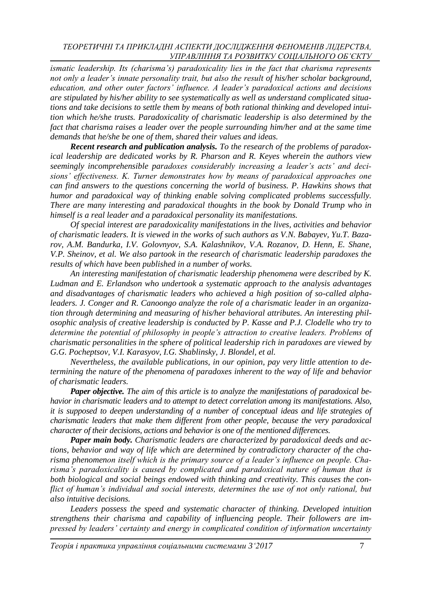*ismatic leadership. Its (charisma's) paradoxicality lies in the fact that charisma represents not only a leader's innate personality trait, but also the result of his/her scholar background, education, and other outer factors' influence. A leader's paradoxical actions and decisions are stipulated by his/her ability to see systematically as well as understand complicated situations and take decisions to settle them by means of both rational thinking and developed intuition which he/she trusts. Paradoxicality of charismatic leadership is also determined by the fact that charisma raises a leader over the people surrounding him/her and at the same time demands that he/she be one of them, shared their values and ideas.*

*Recent research and publication analysis. To the research of the problems of paradoxical leadership are dedicated works by R. Pharson and R. Keyes wherein the authors view seemingly incomprehensible paradoxes considerably increasing a leader's acts' and decisions' effectiveness. K. Turner demonstrates how by means of paradoxical approaches one can find answers to the questions concerning the world of business. P. Hawkins shows that humor and paradoxical way of thinking enable solving complicated problems successfully. There are many interesting and paradoxical thoughts in the book by Donald Trump who in himself is a real leader and a paradoxical personality its manifestations.*

*Of special interest are paradoxicality manifestations in the lives, activities and behavior of charismatic leaders. It is viewed in the works of such authors as V.N. Babayev, Yu.T. Bazarov, A.M. Bandurka, I.V. Golovnyov, S.A. Kalashnikov, V.A. Rozanov, D. Henn, E. Shane, V.P. Sheinov, et al. We also partook in the research of charismatic leadership paradoxes the results of which have been published in a number of works.*

*An interesting manifestation of charismatic leadership phenomena were described by K. Ludman and E. Erlandson who undertook a systematic approach to the analysis advantages and disadvantages of charismatic leaders who achieved a high position of so-called alphaleaders. J. Conger and R. Canoongo analyze the role of a charismatic leader in an organization through determining and measuring of his/her behavioral attributes. An interesting philosophic analysis of creative leadership is conducted by P. Kasse and P.J. Clodelle who try to determine the potential of philosophy in people's attraction to creative leaders. Problems of charismatic personalities in the sphere of political leadership rich in paradoxes are viewed by G.G. Pocheptsov, V.I. Karasyov, I.G. Shablinsky, J. Blondel, et al.*

*Nevertheless, the available publications, in our opinion, pay very little attention to determining the nature of the phenomena of paradoxes inherent to the way of life and behavior of charismatic leaders.*

*Paper objective. The aim of this article is to analyze the manifestations of paradoxical behavior in charismatic leaders and to attempt to detect correlation among its manifestations. Also, it is supposed to deepen understanding of a number of conceptual ideas and life strategies of charismatic leaders that make them different from other people, because the very paradoxical character of their decisions, actions and behavior is one of the mentioned differences.*

*Paper main body. Charismatic leaders are characterized by paradoxical deeds and actions, behavior and way of life which are determined by contradictory character of the charisma phenomenon itself which is the primary source of a leader's influence on people. Charisma's paradoxicality is caused by complicated and paradoxical nature of human that is both biological and social beings endowed with thinking and creativity. This causes the conflict of human's individual and social interests, determines the use of not only rational, but also intuitive decisions.*

Leaders possess the speed and systematic character of thinking. Developed intuition *strengthens their charisma and capability of influencing people. Their followers are impressed by leaders' certainty and energy in complicated condition of information uncertainty* 

*Теорія і практика управління соціальними системами 3'2017* 7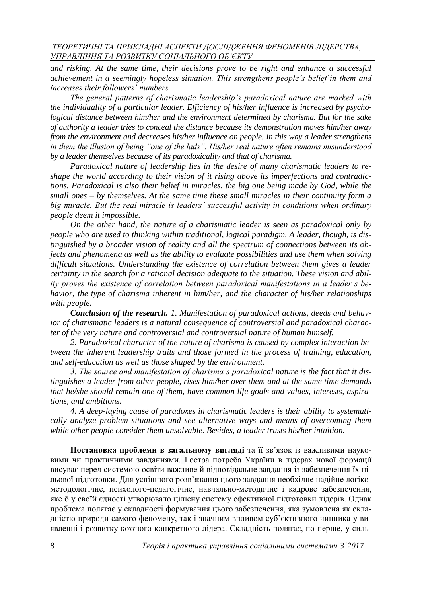*and risking. At the same time, their decisions prove to be right and enhance a successful achievement in a seemingly hopeless situation. This strengthens people's belief in them and increases their followers' numbers.*

*The general patterns of charismatic leadership's paradoxical nature are marked with the individuality of a particular leader. Efficiency of his/her influence is increased by psychological distance between him/her and the environment determined by charisma. But for the sake of authority a leader tries to conceal the distance because its demonstration moves him/her away from the environment and decreases his/her influence on people. In this way a leader strengthens in them the illusion of being "one of the lads". His/her real nature often remains misunderstood by a leader themselves because of its paradoxicality and that of charisma.*

*Paradoxical nature of leadership lies in the desire of many charismatic leaders to reshape the world according to their vision of it rising above its imperfections and contradictions. Paradoxical is also their belief in miracles, the big one being made by God, while the small ones – by themselves. At the same time these small miracles in their continuity form a big miracle. But the real miracle is leaders' successful activity in conditions when ordinary people deem it impossible.*

*On the other hand, the nature of a charismatic leader is seen as paradoxical only by people who are used to thinking within traditional, logical paradigm. A leader, though, is distinguished by a broader vision of reality and all the spectrum of connections between its objects and phenomena as well as the ability to evaluate possibilities and use them when solving difficult situations. Understanding the existence of correlation between them gives a leader certainty in the search for a rational decision adequate to the situation. These vision and ability proves the existence of correlation between paradoxical manifestations in a leader's behavior, the type of charisma inherent in him/her, and the character of his/her relationships with people.*

*Conclusion of the research. 1. Manifestation of paradoxical actions, deeds and behavior of charismatic leaders is a natural consequence of controversial and paradoxical character of the very nature and controversial and controversial nature of human himself.*

*2. Paradoxical character of the nature of charisma is caused by complex interaction between the inherent leadership traits and those formed in the process of training, education, and self-education as well as those shaped by the environment.*

*3. The source and manifestation of charisma's paradoxical nature is the fact that it distinguishes a leader from other people, rises him/her over them and at the same time demands that he/she should remain one of them, have common life goals and values, interests, aspirations, and ambitions.*

*4. A deep-laying cause of paradoxes in charismatic leaders is their ability to systematically analyze problem situations and see alternative ways and means of overcoming them while other people consider them unsolvable. Besides, a leader trusts his/her intuition.*

**Постановка проблеми в загальному вигляді** та її зв'язок із важливими науковими чи практичними завданнями. Гостра потреба України в лідерах нової формації висуває перед системою освіти важливе й відповідальне завдання із забезпечення їх цільової підготовки. Для успішного розв'язання цього завдання необхідне надійне логікометодологічне, психолого-педагогічне, навчально-методичне і кадрове забезпечення, яке б у своїй єдності утворювало цілісну систему ефективної підготовки лідерів. Однак проблема полягає у складності формування цього забезпечення, яка зумовлена як складністю природи самого феномену, так і значним впливом суб'єктивного чинника у виявленні і розвитку кожного конкретного лідера. Складність полягає, по-перше, у силь-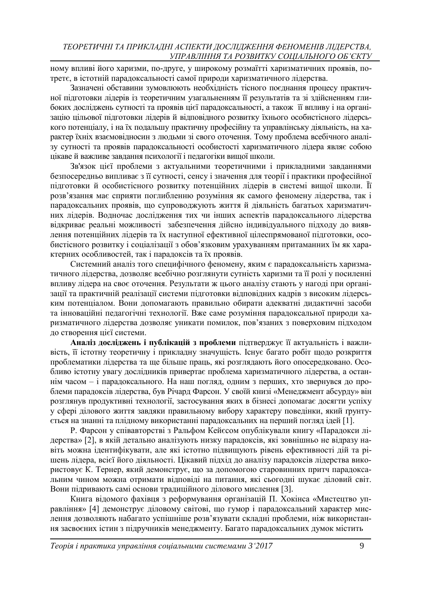ному впливі його харизми, по-друге, у широкому розмаїтті харизматичних проявів, потретє, в істотній парадоксальності самої природи харизматичного лідерства.

Зазначені обставини зумовлюють необхідність тісного поєднання процесу практичної підготовки лідерів із теоретичним узагальненням її результатів та зі здійсненням глибоких досліджень сутності та проявів цієї парадоксальності, а також її впливу і на організацію цільової підготовки лідерів й відповідного розвитку їхнього особистісного лідерського потенціалу, і на їх подальшу практичну професійну та управлінську діяльність, на характер їхніх взаємовідносин з людьми зі свого оточення. Тому проблема всебічного аналізу сутності та проявів парадоксальності особистості харизматичного лідера являє собою цікаве й важливе завдання психології і педагогіки вищої школи.

Зв'язок цієї проблеми з актуальними теоретичними і прикладними завданнями безпосередньо випливає з її сутності, сенсу і значення для теорії і практики професійної підготовки й особистісного розвитку потенційних лідерів в системі вищої школи. Її розв'язання має сприяти поглибленню розуміння як самого феномену лідерства, так і парадоксальних проявів, що супроводжують життя й діяльність багатьох харизматичних лідерів. Водночас дослідження тих чи інших аспектів парадоксального лідерства відкриває реальні можливості забезпечення дійсно індивідуального підходу до виявлення потенційних лідерів та їх наступної ефективної цілеспрямованої підготовки, особистісного розвитку і соціалізації з обов'язковим урахуванням притаманних їм як характерних особливостей, так і парадоксів та їх проявів.

Системний аналіз того специфічного феномену, яким є парадоксальність харизматичного лідерства, дозволяє всебічно розглянути сутність харизми та її ролі у посиленні впливу лідера на своє оточення. Результати ж цього аналізу стають у нагоді при організації та практичній реалізації системи підготовки відповідних кадрів з високим лідерським потенціалом. Вони допомагають правильно обирати адекватні дидактичні засоби та інноваційні педагогічні технології. Вже саме розуміння парадоксальної природи харизматичного лідерства дозволяє уникати помилок, пов'язаних з поверховим підходом до створення цієї системи.

**Аналіз досліджень і публікацій з проблеми** підтверджує її актуальність і важливість, її істотну теоретичну і прикладну значущість. Існує багато робіт щодо розкриття проблематики лідерства та ще більше праць, які розглядають його опосередковано. Особливо істотну увагу дослідників привертає проблема харизматичного лідерства, а останнім часом – і парадоксального. На наш погляд, одним з перших, хто звернувся до проблеми парадоксів лідерства, був Річард Фарсон. У своїй книзі «Менеджмент абсурду» він розглянув продуктивні технології, застосування яких в бізнесі допомагає досягти успіху у сфері ділового життя завдяки правильному вибору характеру поведінки, який ґрунтується на знанні та плідному використанні парадоксальних на перший погляд ідей [1].

Р. Фарсон у співавторстві з Ральфом Кейєсом опублікували книгу «Парадокси лідерства» [2], в якій детально аналізують низку парадоксів, які зовнішньо не відразу навіть можна ідентифікувати, але які істотно підвищують рівень ефективності дій та рішень лідера, всієї його діяльності. Цікавий підхід до аналізу парадоксів лідерства використовує К. Тернер, який демонструє, що за допомогою старовинних притч парадоксальним чином можна отримати відповіді на питання, які сьогодні шукає діловий світ. Вони підривають самі основи традиційного ділового мислення [3].

Книга відомого фахівця з реформування організацій П. Хокінса «Мистецтво управління» [4] демонструє діловому світові, що гумор і парадоксальний характер мислення дозволяють набагато успішніше розв'язувати складні проблеми, ніж використання засвоєних істин з підручників менеджменту. Багато парадоксальних думок містить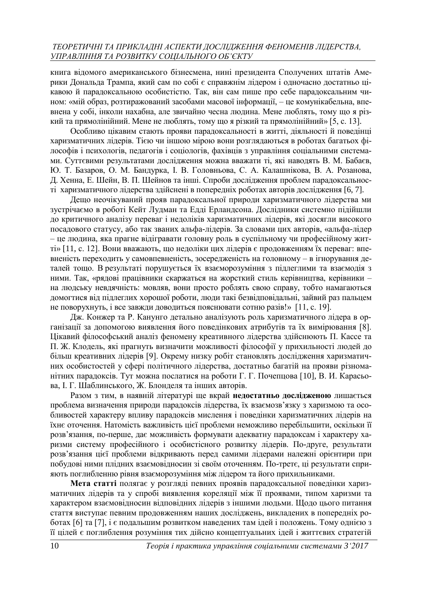книга відомого американського бізнесмена, нині президента Сполучених штатів Америки Дональда Трампа, який сам по собі є справжнім лідером і одночасно достатньо цікавою й парадоксальною особистістю. Так, він сам пише про себе парадоксальним чином: «мій образ, розтиражований засобами масової інформації, – це комунікабельна, впевнена у собі, інколи нахабна, але звичайно чесна людина. Мене люблять, тому що я різкий та прямолінійний. Мене не люблять, тому що я різкий та прямолінійний» [5, с. 13].

Особливо цікавим стають прояви парадоксальності в житті, діяльності й поведінці харизматичних лідерів. Тією чи іншою мірою вони розглядаються в роботах багатьох філософів і психологів, педагогів і соціологів, фахівців з управління соціальними системами. Суттєвими результатами дослідження можна вважати ті, які наводять В. М. Бабаєв, Ю. Т. Базаров, О. М. Бандурка, І. В. Головньова, С. А. Калашнікова, В. А. Розанова, Д. Хенна, Е. Шейн, В. П. Шейнов та інші. Спроби дослідження проблем парадоксальності харизматичного лідерства здійснені в попередніх роботах авторів дослідження [6, 7].

Дещо неочікуваний прояв парадоксальної природи харизматичного лідерства ми зустрічаємо в роботі Кейт Лудман та Едді Ерландсона. Дослідники системно підійшли до критичного аналізу переваг і недоліків харизматичних лідерів, які досягли високого посадового статусу, або так званих альфа-лідерів. За словами цих авторів, «альфа-лідер – це людина, яка прагне відігравати головну роль в суспільному чи професійному житті» [11, с. 12]. Вони вважають, що недоліки цих лідерів є продовженням їх переваг: впевненість переходить у самовпевненість, зосередженість на головному – в ігнорування деталей тощо. В результаті порушується їх взаєморозуміння з підлеглими та взаємодія з ними. Так, «рядові працівники скаржаться на жорсткий стиль керівництва, керівники – на людську невдячність: мовляв, вони просто роблять свою справу, тобто намагаються домогтися від підлеглих хорошої роботи, люди такі безвідповідальні, зайвий раз пальцем не поворухнуть, і все завжди доводиться пояснювати сотню разів!» [11, с. 19].

Дж. Конжер та Р. Канунго детально аналізують роль харизматичного лідера в організації за допомогою виявлення його поведінкових атрибутів та їх вимірювання [8]. Цікавий філософський аналіз феномену креативного лідерства здійснюють П. Кассе та П. Ж. Клодель, які прагнуть визначити можливості філософії у прихильності людей до більш креативних лідерів [9]. Окрему низку робіт становлять дослідження харизматичних особистостей у сфері політичного лідерства, достатньо багатій на прояви різноманітних парадоксів. Тут можна послатися на роботи Г. Г. Почепцова [10], В. И. Карасьова, І. Г. Шаблинського, Ж. Блонделя та інших авторів.

Разом з тим, в наявній літературі ще вкрай **недостатньо дослідженою** лишається проблема визначення природи парадоксів лідерства, їх взаємозв'язку з харизмою та особливостей характеру впливу парадоксів мислення і поведінки харизматичних лідерів на їхнє оточення. Натомість важливість цієї проблеми неможливо перебільшити, оскільки її розв'язання, по-перше, дає можливість формувати адекватну парадоксам і характеру харизми систему професійного і особистісного розвитку лідерів. По-друге, результати розв'язання цієї проблеми відкривають перед самими лідерами належні орієнтири при побудові ними плідних взаємовідносин зі своїм оточенням. По-третє, ці результати сприяють поглибленню рівня взаєморозуміння між лідером та його прихильниками.

**Мета статті** полягає у розгляді певних проявів парадоксальної поведінки харизматичних лідерів та у спробі виявлення кореляції між її проявами, типом харизми та характером взаємовідносин відповідних лідерів з іншими людьми. Щодо цього питання стаття виступає певним продовженням наших досліджень, викладених в попередніх роботах [6] та [7], і є подальшим розвитком наведених там ідей і положень. Тому однією з її цілей є поглиблення розуміння тих дійсно концептуальних ідей і життєвих стратегій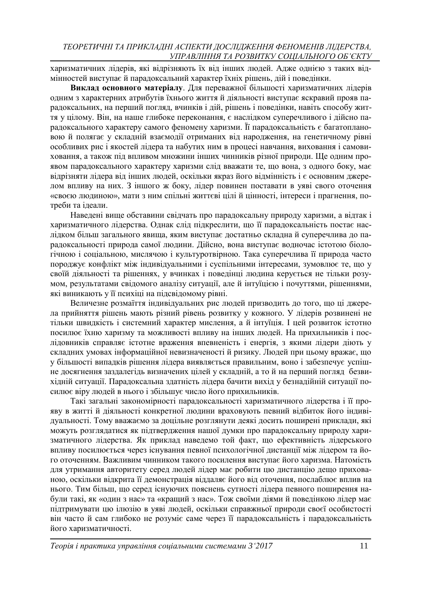харизматичних лідерів, які відрізняють їх від інших людей. Адже однією з таких відмінностей виступає й парадоксальний характер їхніх рішень, дій і поведінки.

**Виклад основного матеріалу**. Для переважної більшості харизматичних лідерів одним з характерних атрибутів їхнього життя й діяльності виступає яскравий прояв парадоксальних, на перший погляд, вчинків і дій, рішень і поведінки, навіть способу життя у цілому. Він, на наше глибоке переконання, є наслідком суперечливого і дійсно парадоксального характеру самого феномену харизми. Її парадоксальність є багатоплановою й полягає у складній взаємодії отриманих від народження, на генетичному рівні особливих рис і якостей лідера та набутих ним в процесі навчання, виховання і самовиховання, а також під впливом множини інших чинників різної природи. Ще одним проявом парадоксального характеру харизми слід вважати те, що вона, з одного боку, має відрізняти лідера від інших людей, оскільки якраз його відмінність і є основним джерелом впливу на них. З іншого ж боку, лідер повинен поставати в уяві свого оточення «своєю людиною», мати з ним спільні життєві цілі й цінності, інтереси і прагнення, потреби та ідеали.

Наведені вище обставини свідчать про парадоксальну природу харизми, а відтак і харизматичного лідерства. Однак слід підкреслити, що її парадоксальність постає наслідком більш загального явища, яким виступає достатньо складна й суперечлива до парадоксальності природа самої людини. Дійсно, вона виступає водночас істотою біологічною і соціальною, мислячою і культуротвірною. Така суперечлива її природа часто породжує конфлікт між індивідуальними і суспільними інтересами, зумовлює те, що у своїй діяльності та рішеннях, у вчинках і поведінці людина керується не тільки розумом, результатами свідомого аналізу ситуації, але й інтуїцією і почуттями, рішеннями, які виникають у її психіці на підсвідомому рівні.

Величезне розмаїття індивідуальних рис людей призводить до того, що ці джерела прийняття рішень мають різний рівень розвитку у кожного. У лідерів розвинені не тільки швидкість і системний характер мислення, а й інтуїція. І цей розвиток істотно посилює їхню харизму та можливості впливу на інших людей. На прихильників і послідовників справляє істотне враження впевненість і енергія, з якими лідери діють у складних умовах інформаційної невизначеності й ризику. Людей при цьому вражає, що у більшості випадків рішення лідера виявляється правильним, воно і забезпечує успішне досягнення заздалегідь визначених цілей у складній, а то й на перший погляд безвихідній ситуації. Парадоксальна здатність лідера бачити вихід у безнадійній ситуації посилює віру людей в нього і збільшує число його прихильників.

Такі загальні закономірності парадоксальності харизматичного лідерства і її прояву в житті й діяльності конкретної людини враховують певний відбиток його індивідуальності. Тому вважаємо за доцільне розглянути деякі досить поширені приклади, які можуть розглядатися як підтвердження нашої думки про парадоксальну природу харизматичного лідерства. Як приклад наведемо той факт, що ефективність лідерського впливу посилюється через існування певної психологічної дистанції між лідером та його оточенням. Важливим чинником такого посилення виступає його харизма. Натомість для утримання авторитету серед людей лідер має робити цю дистанцію дещо прихованою, оскільки відкрита її демонстрація віддаляє його від оточення, послаблює вплив на нього. Тим більш, що серед існуючих пояснень сутності лідера певного поширення набули такі, як «один з нас» та «кращий з нас». Тож своїми діями й поведінкою лідер має підтримувати цю ілюзію в уяві людей, оскільки справжньої природи своєї особистості він часто й сам глибоко не розуміє саме через її парадоксальність і парадоксальність його харизматичності.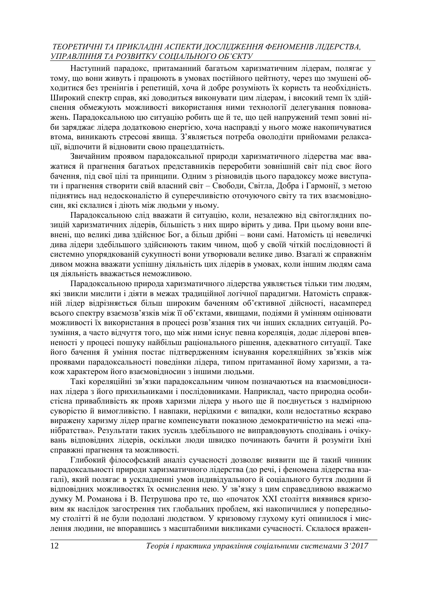Наступний парадокс, притаманний багатьом харизматичним лідерам, полягає у тому, що вони живуть і працюють в умовах постійного цейтноту, через що змушені обходитися без тренінгів і репетицій, хоча й добре розуміють їх користь та необхідність. Широкий спектр справ, які доводиться виконувати цим лідерам, і високий темп їх здійснення обмежують можливості використання ними технології делегування повноважень. Парадоксальною цю ситуацію робить ще й те, що цей напружений темп зовні ніби заряджає лідера додатковою енергією, хоча насправді у нього може накопичуватися втома, виникають стресові явища. З'являється потреба оволодіти прийомами релаксації, відпочити й відновити свою працездатність.

Звичайним проявом парадоксальної природи харизматичного лідерства має вважатися й прагнення багатьох представників переробити зовнішній світ під своє його бачення, під свої цілі та принципи. Одним з різновидів цього парадоксу може виступати і прагнення створити свій власний світ – Свободи, Світла, Добра і Гармонії, з метою піднятись над недосконалістю й суперечливістю оточуючого світу та тих взаємовідносин, які склалися і діють між людьми у ньому.

Парадоксальною слід вважати й ситуацію, коли, незалежно від світоглядних позицій харизматичних лідерів, більшість з них щиро вірить у дива. При цьому вони впевнені, що великі дива здійснює Бог, а більш дрібні – вони самі. Натомість ці невеличкі дива лідери здебільшого здійснюють таким чином, щоб у своїй чіткій послідовності й системно упорядкованій сукупності вони утворювали велике диво. Взагалі ж справжнім дивом можна вважати успішну діяльність цих лідерів в умовах, коли іншим людям сама ця діяльність вважається неможливою.

Парадоксальною природа харизматичного лідерства уявляється тільки тим людям, які звикли мислити і діяти в межах традиційної логічної парадигми. Натомість справжній лідер відрізняється більш широким баченням об'єктивної дійсності, насамперед всього спектру взаємозв'язків між її об'єктами, явищами, подіями й умінням оцінювати можливості їх використання в процесі розв'язання тих чи інших складних ситуацій. Розуміння, а часто відчуття того, що між ними існує певна кореляція, додає лідерові впевненості у процесі пошуку найбільш раціонального рішення, адекватного ситуації. Таке його бачення й уміння постає підтвердженням існування кореляційних зв'язків між проявами парадоксальності поведінки лідера, типом притаманної йому харизми, а також характером його взаємовідносин з іншими людьми.

Такі кореляційні зв'язки парадоксальним чином позначаються на взаємовідносинах лідера з його прихильниками і послідовниками. Наприклад, часто природна особистісна привабливість як прояв харизми лідера у нього ще й поєднується з надмірною суворістю й вимогливістю. І навпаки, нерідкими є випадки, коли недостатньо яскраво виражену харизму лідер прагне компенсувати показною демократичністю на межі «панібратства». Результати таких зусиль здебільшого не виправдовують сподівань і очікувань відповідних лідерів, оскільки люди швидко починають бачити й розуміти їхні справжні прагнення та можливості.

Глибокий філософський аналіз сучасності дозволяє виявити ще й такий чинник парадоксальності природи харизматичного лідерства (до речі, і феномена лідерства взагалі), який полягає в ускладненні умов індивідуального й соціального буття людини й відповідних можливостях їх осмислення нею. У зв'язку з цим справедливою вважаємо думку М. Романова і В. Петрушова про те, що «початок ХХІ століття виявився кризовим як наслідок загострення тих глобальних проблем, які накопичилися у попередньому столітті й не були подолані людством. У кризовому глухому куті опинилося і мислення людини, не впоравшись з масштабними викликами сучасності. Склалося вражен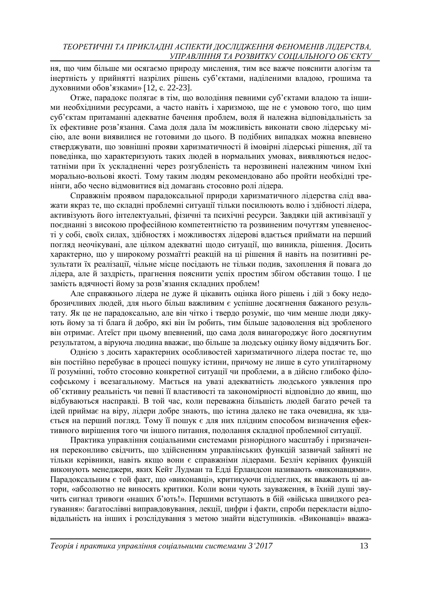ня, що чим більше ми осягаємо природу мислення, тим все важче пояснити алогізм та інертність у прийнятті назрілих рішень суб'єктами, наділеними владою, грошима та духовними обов'язками» [12, с. 22-23].

Отже, парадокс полягає в тім, що володіння певними суб'єктами владою та іншими необхідними ресурсами, а часто навіть і харизмою, ще не є умовою того, що цим суб'єктам притаманні адекватне бачення проблем, воля й належна відповідальність за їх ефективне розв'язання. Сама доля дала їм можливість виконати свою лідерську місію, але вони виявилися не готовими до цього. В подібних випадках можна впевнено стверджувати, що зовнішні прояви харизматичності й імовірні лідерські рішення, дії та поведінка, що характеризують таких людей в нормальних умовах, виявляються недостатніми при їх ускладненні через розгубленість та нерозвинені належним чином їхні морально-вольові якості. Тому таким людям рекомендовано або пройти необхідні тренінги, або чесно відмовитися від домагань стосовно ролі лідера.

Справжнім проявом парадоксальної природи харизматичного лідерства слід вважати якраз те, що складні проблемні ситуації тільки посилюють волю і здібності лідера, активізують його інтелектуальні, фізичні та психічні ресурси. Завдяки цій активізації у поєднанні з високою професійною компетентністю та розвиненим почуттям упевненості у собі, своїх силах, здібностях і можливостях лідерові вдається приймати на перший погляд неочікувані, але цілком адекватні щодо ситуації, що виникла, рішення. Досить характерно, що у широкому розмаїтті реакцій на ці рішення й навіть на позитивні результати їх реалізації, чільне місце посідають не тільки подив, захоплення й повага до лідера, але й заздрість, прагнення пояснити успіх простим збігом обставин тощо. І це замість вдячності йому за розв'язання складних проблем!

Але справжнього лідера не дуже й цікавить оцінка його рішень і дій з боку недоброзичливих людей, для нього більш важливим є успішне досягнення бажаного результату. Як це не парадоксально, але він чітко і твердо розуміє, що чим менше люди дякують йому за ті блага й добро, які він їм робить, тим більше задоволення від зробленого він отримає. Атеїст при цьому впевнений, що сама доля винагороджує його досягнутим результатом, а віруюча людина вважає, що більше за людську оцінку йому віддячить Бог.

Однією з досить характерних особливостей харизматичного лідера постає те, що він постійно перебуває в процесі пошуку істини, причому не лише в суто утилітарному її розумінні, тобто стосовно конкретної ситуації чи проблеми, а в дійсно глибоко філософському і всезагальному. Мається на увазі адекватність людського уявлення про об'єктивну реальність чи певні її властивості та закономірності відповідно до явищ, що відбуваються насправді. В той час, коли переважна більшість людей багато речей та ідей приймає на віру, лідери добре знають, що істина далеко не така очевидна, як здається на перший погляд. Тому її пошук є для них плідним способом визначення ефективного вирішення того чи іншого питання, подолання складної проблемної ситуації.

Практика управління соціальними системами різнорідного масштабу і призначення переконливо свідчить, що здійсненням управлінських функцій зазвичай зайняті не тільки керівники, навіть якщо вони є справжніми лідерами. Безліч керівних функцій виконують менеджери, яких Кейт Лудман та Едді Ерландсон називають «виконавцями». Парадоксальним є той факт, що «виконавці», критикуючи підлеглих, як вважають ці автори, «абсолютно не виносять критики. Коли вони чують зауваження, в їхній душі звучить сигнал тривоги «наших б'ють!». Першими вступають в бій «війська швидкого реагування»: багатослівні виправдовування, лекції, цифри і факти, спроби перекласти відповідальність на інших і розслідування з метою знайти відступників. «Виконавці» вважа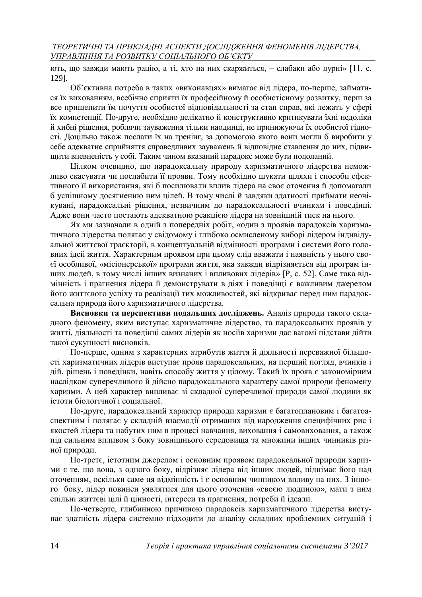ють, що завжди мають рацію, а ті, хто на них скаржиться, – слабаки або дурні» [11, с. 129].

Об'єктивна потреба в таких «виконавцях» вимагає від лідера, по-перше, займатися їх вихованням, всебічно сприяти їх професійному й особистісному розвитку, перш за все прищепити їм почуття особистої відповідальності за стан справ, які лежать у сфері їх компетенції. По-друге, необхідно делікатно й конструктивно критикувати їхні недоліки й хибні рішення, роблячи зауваження тільки наодинці, не принижуючи їх особистої гідності. Доцільно також послати їх на тренінг, за допомогою якого вони могли б виробити у себе адекватне сприйняття справедливих зауважень й відповідне ставлення до них, підвищити впевненість у собі. Таким чином вказаний парадокс може бути подоланий.

Цілком очевидно, що парадоксальну природу харизматичного лідерства неможливо скасувати чи послабити її прояви. Тому необхідно шукати шляхи і способи ефективного її використання, які б посилювали вплив лідера на своє оточення й допомагали б успішному досягненню ним цілей. В тому числі й завдяки здатності приймати неочікувані, парадоксальні рішення, незвичним до парадоксальності вчинкам і поведінці. Адже вони часто постають адекватною реакцією лідера на зовнішній тиск на нього.

Як ми зазначали в одній з попередніх робіт, «один з проявів парадоксів харизматичного лідерства полягає у свідомому і глибоко осмисленому виборі лідером індивідуальної життєвої траєкторії, в концептуальній відмінності програми і системи його головних ідей життя. Характерним проявом при цьому слід вважати і наявність у нього своєї особливої, «місіонерської» програми життя, яка завжди відрізняється від програм інших людей, в тому числі інших визнаних і впливових лідерів» [Р, с. 52]. Саме така відмінність і прагнення лідера її демонструвати в діях і поведінці є важливим джерелом його життєвого успіху та реалізації тих можливостей, які відкриває перед ним парадоксальна природа його харизматичного лідерства.

**Висновки та перспективи подальших досліджень.** Аналіз природи такого складного феномену, яким виступає харизматичне лідерство, та парадоксальних проявів у житті, діяльності та поведінці самих лідерів як носіїв харизми дає вагомі підстави дійти такої сукупності висновків.

По-перше, одним з характерних атрибутів життя й діяльності переважної більшості харизматичних лідерів виступає прояв парадоксальних, на перший погляд, вчинків і дій, рішень і поведінки, навіть способу життя у цілому. Такий їх прояв є закономірним наслідком суперечливого й дійсно парадоксального характеру самої природи феномену харизми. А цей характер випливає зі складної суперечливої природи самої людини як істоти біологічної і соціальної.

По-друге, парадоксальний характер природи харизми є багатоплановим і багатоаспектним і полягає у складній взаємодії отриманих від народження специфічних рис і якостей лідера та набутих ним в процесі навчання, виховання і самовиховання, а також під сильним впливом з боку зовнішнього середовища та множини інших чинників різної природи.

По-третє, істотним джерелом і основним проявом парадоксальної природи харизми є те, що вона, з одного боку, відрізняє лідера від інших людей, піднімає його над оточенням, оскільки саме ця відмінність і є основним чинником впливу на них. З іншого боку, лідер повинен уявлятися для цього оточення «своєю людиною», мати з ним спільні життєві цілі й цінності, інтереси та прагнення, потреби й ідеали.

По-четверте, глибинною причиною парадоксів харизматичного лідерства виступає здатність лідера системно підходити до аналізу складних проблемних ситуацій і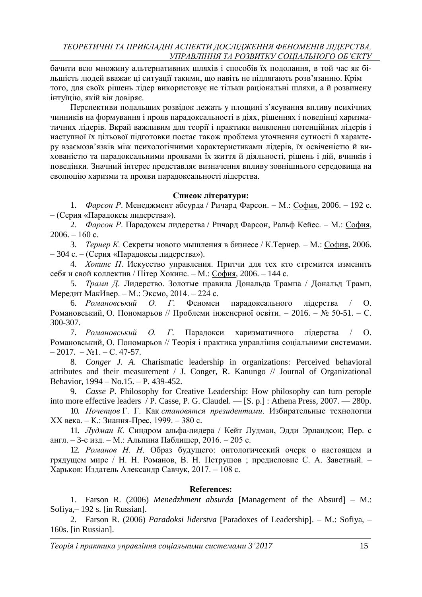бачити всю множину альтернативних шляхів і способів їх подолання, в той час як більшість людей вважає ці ситуації такими, що навіть не підлягають розв'язанню. Крім того, для своїх рішень лідер використовує не тільки раціональні шляхи, а й розвинену інтуїцію, якій він довіряє.

Перспективи подальших розвідок лежать у площині з'ясування впливу психічних чинників на формування і прояв парадоксальності в діях, рішеннях і поведінці харизматичних лідерів. Вкрай важливим для теорії і практики виявлення потенційних лідерів і наступної їх цільової підготовки постає також проблема уточнення сутності й характеру взаємозв'язків між психологічними характеристиками лідерів, їх освіченістю й вихованістю та парадоксальними проявами їх життя й діяльності, рішень і дій, вчинків і поведінки. Значний інтерес представляє визначення впливу зовнішнього середовища на еволюцію харизми та прояви парадоксальності лідерства.

# **Список літератури:**

1. *Фарсон Р*. Менеджмент абсурда / Ричард Фарсон. – М.: [София,](http://www.management.com.ua/books/vydav.php?id=61) 2006. – 192 с. – (Серия «Парадоксы лидерства»).

2. *Фарсон Р*. Парадоксы лидерства / Ричард Фарсон, Ральф Кейес. – М.: [София,](http://www.management.com.ua/books/vydav.php?id=61)  $2006. - 160$  c.

3. *Тернер К.* Секреты нового мышления в бизнесе / К.Тернер. – М.: [София,](http://www.management.com.ua/books/vydav.php?id=61) 2006. – 304 с. – (Серия «Парадоксы лидерства»).

4. *Хокинс П*. Искусство управления. Притчи для тех кто стремится изменить себя и свой коллектив / Пітер Хокинс. – М.: [София,](http://www.management.com.ua/books/vydav.php?id=61) 2006. – 144 с.

5. *Трамп Д.* Лидерство. Золотые правила Дональда Трампа / Дональд Трамп, Мередит МакИвер. – М.: Эксмо, 2014. – 224 с.

6. *Романовський О. Г*. Феномен парадоксального лідерства / О. Романовський, О. Пономарьов // Проблеми інженерної освіти. – 2016. – № 50-51. – С. 300-307.

7. *Романовський О. Г*. Парадокси харизматичного лідерства / О. Романовський, О. Пономарьов // Теорія і практика управління соціальними системами.  $-2017. - N<sub>2</sub>1. - C. 47-57.$ 

8. *Conger J. A*. Charismatic leadership in organizations: Perceived behavioral attributes and their measurement / J. Conger, R. Kanungo // Journal of Organizational Behavior, 1994 – No.15. – P. 439-452.

9. *Casse P.* Philosophy for Creative Leadership: How philosophy can turn perople into more effective leaders / P. Casse, P. G. Claudel. — [S. p.] : Athena Press, 2007. — 280p.

10. *Почепцов* Г. Г. Как *становятся президентами*. Избирательные технологии XX века. – К.: Знання-Прес, 1999. – 380 с.

11. *Лудман К.* Синдром альфа-лидера / Кейт Лудман, Эдди Эрландсон; Пер. с англ. – 3-е изд. – М.: Альпина Паблишер, 2016. – 205 с.

12. *Романов Н. Н*. Образ будущего: онтологический очерк о настоящем и грядущем мире / Н. Н. Романов, В. Н. Петрушов ; предисловие С. А. Заветный. – Харьков: Издатель Александр Савчук, 2017. – 108 с.

#### **References:**

1. Farson R. (2006) *Menedzhment absurda* [Management of the Absurd] – M.: Sofiya,– 192 s. [in Russian].

2. Farson R. (2006) *Paradoksi liderstva* [Paradoxes of Leadership]. – M.: Sofiya, – 160s. [in Russian].